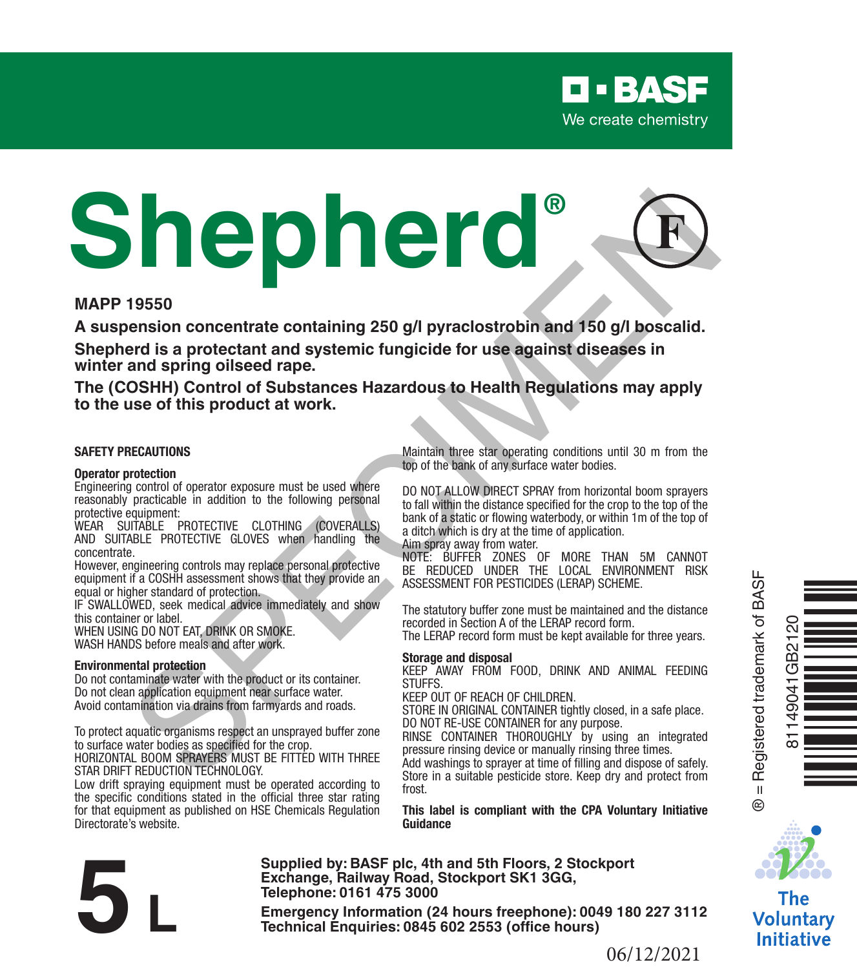

# **Shepherd®** 19550<br>
September occurrent at containing 250 g/l pyraclostrobin and 150 g/l boscalid.<br>
Specifical same are contained containing 250 g/l pyraclostrobin and 150 g/l boscalid.<br>
Specifical same are contained to the same are co

#### **MAPP 19550**

**A suspension concentrate containing 250 g/l pyraclostrobin and 150 g/l boscalid. Shepherd is a protectant and systemic fungicide for use against diseases in winter and spring oilseed rape.**

**The (COSHH) Control of Substances Hazardous to Health Regulations may apply to the use of this product at work.**

#### **SAFETY PRECAUTIONS**

#### **Operator protection**

Engineering control of operator exposure must be used where reasonably practicable in addition to the following personal protective equipment:

WEAR SUITABLE PROTECTIVE CLOTHING (COVERALLS) AND SUITABLE PROTECTIVE GLOVES when handling the concentrate.

However, engineering controls may replace personal protective equipment if a COSHH assessment shows that they provide an equal or higher standard of protection.

IF SWALLOWED, seek medical advice immediately and show this container or label.

WHEN USING DO NOT EAT, DRINK OR SMOKE. WASH HANDS before meals and after work.

#### **Environmental protection**

Do not contaminate water with the product or its container. Do not clean application equipment near surface water. Avoid contamination via drains from farmyards and roads.

To protect aquatic organisms respect an unsprayed buffer zone to surface water bodies as specified for the crop.

HORIZONTAL BOOM SPRAYERS MUST BE FITTED WITH THREE STAR DRIFT REDUCTION TECHNOLOGY.

Low drift spraying equipment must be operated according to the specific conditions stated in the official three star rating for that equipment as published on HSE Chemicals Regulation Directorate's website.

Maintain three star operating conditions until 30 m from the top of the bank of any surface water bodies.

DO NOT ALLOW DIRECT SPRAY from horizontal boom sprayers to fall within the distance specified for the crop to the top of the bank of a static or flowing waterbody, or within 1m of the top of a ditch which is dry at the time of application.

Aim spray away from water.

NOTE: BUFFER ZONES OF MORE THAN 5M CANNOT BE REDUCED UNDER THE LOCAL ENVIRONMENT RISK ASSESSMENT FOR PESTICIDES (LERAP) SCHEME.

The statutory buffer zone must be maintained and the distance recorded in Section A of the LERAP record form. The LERAP record form must be kept available for three years.

#### **Storage and disposal**

KEEP AWAY FROM FOOD, DRINK AND ANIMAL FEEDING STUFFS.

KEEP OUT OF REACH OF CHILDREN.

STORE IN ORIGINAL CONTAINER tightly closed, in a safe place. DO NOT RE-USE CONTAINER for any purpose.

RINSE CONTAINER THOROUGHLY by using an integrated pressure rinsing device or manually rinsing three times.

Add washings to sprayer at time of filling and dispose of safely. Store in a suitable pesticide store. Keep dry and protect from frost.

**This label is compliant with the CPA Voluntary Initiative Guidance**

**Supplied by: BASF plc, 4th and 5th Floors, 2 Stockport Exchange, Railway Road, Stockport SK1 3GG, Telephone: 0161 475 3000 Exchange, Rallway Road, Stockport SK1 3GG,**<br> **Emergency Information (24 hours freephone): 0049 180 227 3112<br>
<b>Emergency Information (24 hours freephone): 0049 180 227 3112<br>
Technical Enquiries: 0845 602 2553 (office hours** 



® = Registered trademark of BASF

 $^{\circ}$ 



The Voluntary **Initiative**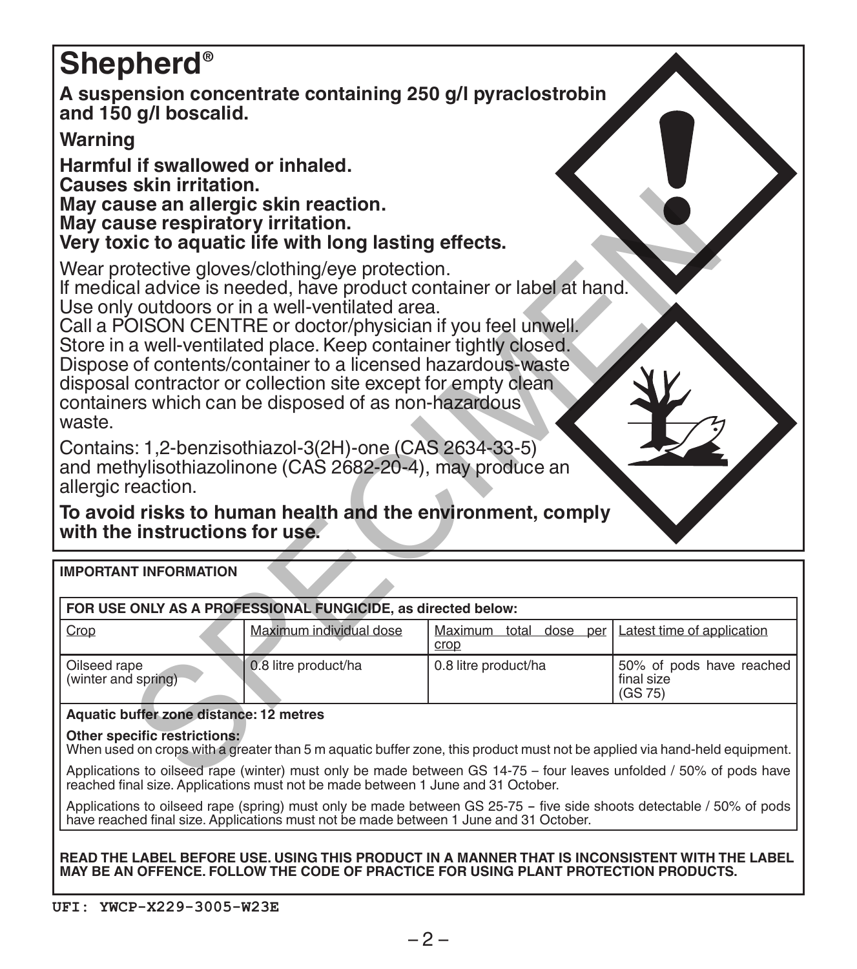# **Shepherd®**

**A suspension concentrate containing 250 g/l pyraclostrobin and 150 g/l boscalid.**

# **Warning**

**Harmful if swallowed or inhaled. Causes skin irritation. May cause an allergic skin reaction. May cause respiratory irritation. Very toxic to aquatic life with long lasting effects.**

| May cause an allergic skin reaction.<br>May cause respiratory irritation.<br>Very toxic to aquatic life with long lasting effects.                                                                                                                                                                                                                                                                                                                                                                                |                                                              |                                |                                                   |  |  |
|-------------------------------------------------------------------------------------------------------------------------------------------------------------------------------------------------------------------------------------------------------------------------------------------------------------------------------------------------------------------------------------------------------------------------------------------------------------------------------------------------------------------|--------------------------------------------------------------|--------------------------------|---------------------------------------------------|--|--|
| Wear protective gloves/clothing/eye protection.<br>If medical advice is needed, have product container or label at hand.<br>Use only outdoors or in a well-ventilated area.<br>Call a POISON CENTRE or doctor/physician if you feel unwell.<br>Store in a well-ventilated place. Keep container tightly closed.<br>Dispose of contents/container to a licensed hazardous-waste<br>disposal contractor or collection site except for empty clean<br>containers which can be disposed of as non-hazardous<br>waste. |                                                              |                                |                                                   |  |  |
| Contains: 1,2-benzisothiazol-3(2H)-one (CAS 2634-33-5)<br>and methylisothiazolinone (CAS 2682-20-4), may produce an<br>allergic reaction.                                                                                                                                                                                                                                                                                                                                                                         |                                                              |                                |                                                   |  |  |
| To avoid risks to human health and the environment, comply<br>with the instructions for use.                                                                                                                                                                                                                                                                                                                                                                                                                      |                                                              |                                |                                                   |  |  |
| <b>IMPORTANT INFORMATION</b>                                                                                                                                                                                                                                                                                                                                                                                                                                                                                      |                                                              |                                |                                                   |  |  |
|                                                                                                                                                                                                                                                                                                                                                                                                                                                                                                                   | FOR USE ONLY AS A PROFESSIONAL FUNGICIDE, as directed below: |                                |                                                   |  |  |
| Crop                                                                                                                                                                                                                                                                                                                                                                                                                                                                                                              | Maximum individual dose                                      | Maximum total dose per<br>crop | Latest time of application                        |  |  |
| Oilseed rape<br>(winter and spring)                                                                                                                                                                                                                                                                                                                                                                                                                                                                               | 0.8 litre product/ha                                         | 0.8 litre product/ha           | 50% of pods have reached<br>final size<br>(GS 75) |  |  |
| Aquatic buffer zone distance: 12 metres                                                                                                                                                                                                                                                                                                                                                                                                                                                                           |                                                              |                                |                                                   |  |  |
| Other specific restrictions:<br>When used on crops with a greater than 5 m aquatic buffer zone, this product must not be applied via hand-held equipment.                                                                                                                                                                                                                                                                                                                                                         |                                                              |                                |                                                   |  |  |
| Applications to oilseed rape (winter) must only be made between GS 14-75 - four leaves unfolded / 50% of pods have<br>reached final size. Applications must not be made between 1 June and 31 October.                                                                                                                                                                                                                                                                                                            |                                                              |                                |                                                   |  |  |

Applications to oilseed rape (spring) must only be made between GS 25-75 - five side shoots detectable / 50% of pods have reached final size. Applications must not be made between 1 June and 31 October.

**READ THE LABEL BEFORE USE. USING THIS PRODUCT IN A MANNER THAT IS INCONSISTENT WITH THE LABEL MAY BE AN OFFENCE. FOLLOW THE CODE OF PRACTICE FOR USING PLANT PROTECTION PRODUCTS.**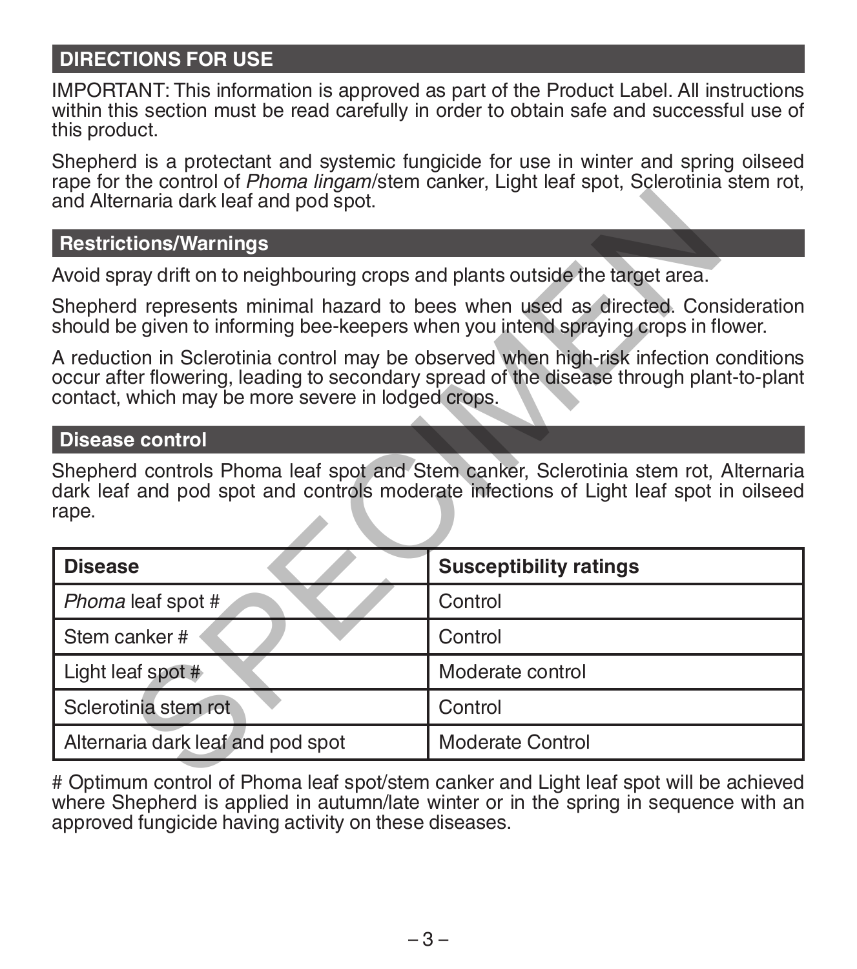# **DIRECTIONS FOR USE**

IMPORTANT: This information is approved as part of the Product Label. All instructions within this section must be read carefully in order to obtain safe and successful use of this product.

Shepherd is a protectant and systemic fungicide for use in winter and spring oilseed rape for the control of *Phoma lingam*/stem canker, Light leaf spot, Sclerotinia stem rot, and Alternaria dark leaf and pod spot.

#### **Restrictions/Warnings**

#### **Disease control**

| and Alternaria dark leaf and pod spot.                                                                                                                                |                                                                                                                                                                                    |  |  |  |
|-----------------------------------------------------------------------------------------------------------------------------------------------------------------------|------------------------------------------------------------------------------------------------------------------------------------------------------------------------------------|--|--|--|
| <b>Restrictions/Warnings</b>                                                                                                                                          |                                                                                                                                                                                    |  |  |  |
| Avoid spray drift on to neighbouring crops and plants outside the target area.                                                                                        |                                                                                                                                                                                    |  |  |  |
| Shepherd represents minimal hazard to bees when used as directed. Consideration<br>should be given to informing bee-keepers when you intend spraying crops in flower. |                                                                                                                                                                                    |  |  |  |
| contact, which may be more severe in lodged crops.                                                                                                                    | A reduction in Sclerotinia control may be observed when high-risk infection conditions<br>occur after flowering, leading to secondary spread of the disease through plant-to-plant |  |  |  |
| <b>Disease control</b>                                                                                                                                                |                                                                                                                                                                                    |  |  |  |
| rape.                                                                                                                                                                 | Shepherd controls Phoma leaf spot and Stem canker, Sclerotinia stem rot, Alternaria<br>dark leaf and pod spot and controls moderate infections of Light leaf spot in oilseed       |  |  |  |
| <b>Disease</b>                                                                                                                                                        | <b>Susceptibility ratings</b>                                                                                                                                                      |  |  |  |
| Phoma leaf spot #                                                                                                                                                     | Control                                                                                                                                                                            |  |  |  |
| Stem canker #                                                                                                                                                         | Control                                                                                                                                                                            |  |  |  |
| Light leaf spot #                                                                                                                                                     | Moderate control                                                                                                                                                                   |  |  |  |
| Sclerotinia stem rot                                                                                                                                                  | Control                                                                                                                                                                            |  |  |  |
| Alternaria dark leaf and pod spot                                                                                                                                     | Moderate Control                                                                                                                                                                   |  |  |  |
|                                                                                                                                                                       | # Ontimum control of Dhoma loof anot/otom conkey and Light loof anot will be septembered                                                                                           |  |  |  |

# Optimum control of Phoma leaf spot/stem canker and Light leaf spot will be achieved where Shepherd is applied in autumn/late winter or in the spring in sequence with an approved fungicide having activity on these diseases.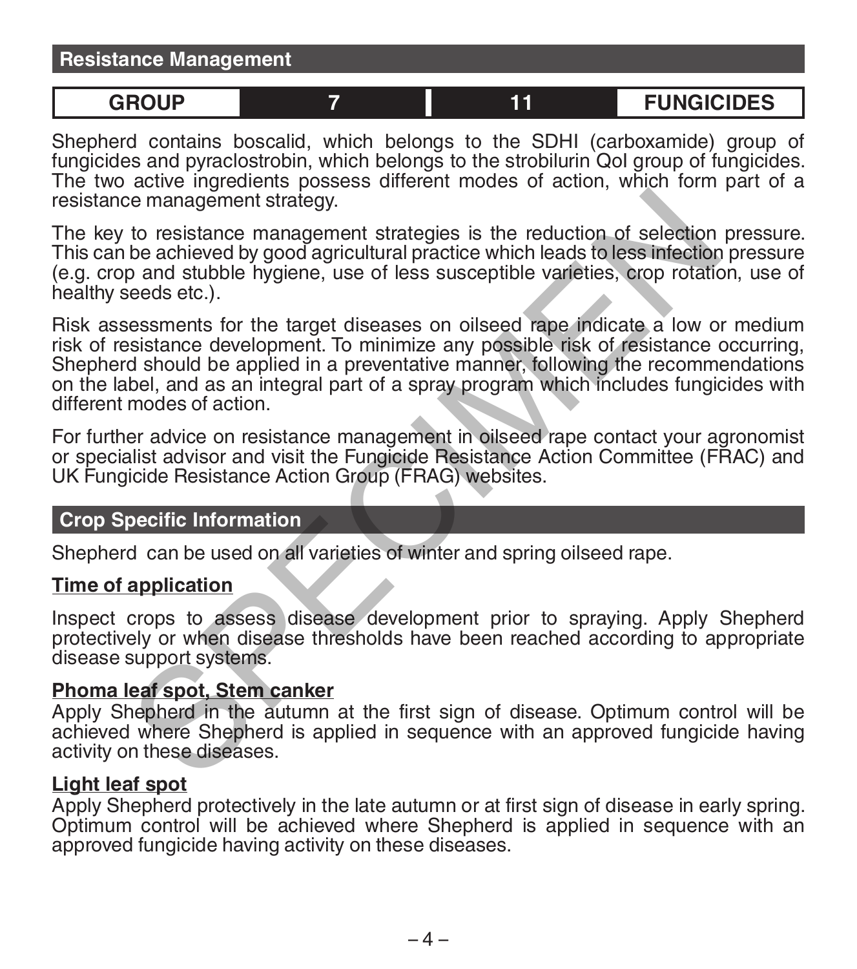| <b>Resistance Management</b> |  |  |                   |  |  |  |
|------------------------------|--|--|-------------------|--|--|--|
|                              |  |  |                   |  |  |  |
| GROUP                        |  |  | <b>FUNGICIDES</b> |  |  |  |

Shepherd contains boscalid, which belongs to the SDHI (carboxamide) group of fungicides and pyraclostrobin, which belongs to the strobilurin QoI group of fungicides. The two active ingredients possess different modes of action, which form part of a resistance management strategy.

The key to resistance management strategies is the reduction of selection pressure. This can be achieved by good agricultural practice which leads to less infection pressure (e.g. crop and stubble hygiene, use of less susceptible varieties, crop rotation, use of healthy seeds etc.).

Risk assessments for the target diseases on oilseed rape indicate a low or medium risk of resistance development. To minimize any possible risk of resistance occurring, Shepherd should be applied in a preventative manner, following the recommendations on the label, and as an integral part of a spray program which includes fungicides with different modes of action. is management strategy.<br>
to resistance management strategies is the reduction of selection<br>
be achieved by good agricultural practice which leads to less infection<br>
p and stubble hygiene, use of less susceptible varieties,

For further advice on resistance management in oilseed rape contact your agronomist or specialist advisor and visit the Fungicide Resistance Action Committee (FRAC) and UK Fungicide Resistance Action Group (FRAG) websites.

#### **Crop Specific Information**

Shepherd can be used on all varieties of winter and spring oilseed rape.

#### **Time of application**

Inspect crops to assess disease development prior to spraying. Apply Shepherd protectively or when disease thresholds have been reached according to appropriate disease support systems.

## **Phoma leaf spot, Stem canker**

Apply Shepherd in the autumn at the first sign of disease. Optimum control will be achieved where Shepherd is applied in sequence with an approved fungicide having activity on these diseases.

## **Light leaf spot**

Apply Shepherd protectively in the late autumn or at first sign of disease in early spring. Optimum control will be achieved where Shepherd is applied in sequence with an approved fungicide having activity on these diseases.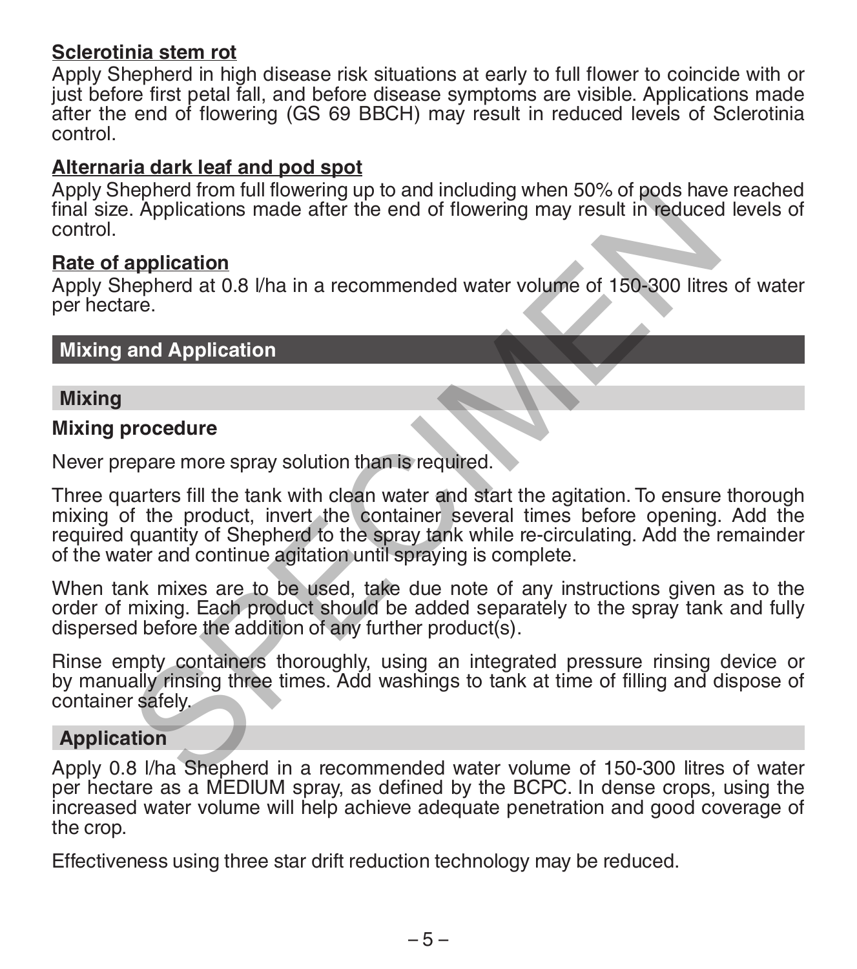# **Sclerotinia stem rot**

Apply Shepherd in high disease risk situations at early to full flower to coincide with or just before first petal fall, and before disease symptoms are visible. Applications made after the end of flowering (GS 69 BBCH) may result in reduced levels of Sclerotinia control.

## **Alternaria dark leaf and pod spot**

Apply Shepherd from full flowering up to and including when 50% of pods have reached final size. Applications made after the end of flowering may result in reduced levels of control.

#### **Rate of application**

Apply Shepherd at 0.8 l/ha in a recommended water volume of 150-300 litres of water per hectare.

#### **Mixing and Application**

#### **Mixing**

#### **Mixing procedure**

Never prepare more spray solution than is required.

Three quarters fill the tank with clean water and start the agitation. To ensure thorough mixing of the product, invert the container several times before opening. Add the required quantity of Shepherd to the spray tank while re-circulating. Add the remainder of the water and continue agitation until spraying is complete. eleptron of the and a recommended water volume of 150-300 litres<br>
A. Applications made after the end of flowering may result in reduced<br>
application<br>
and Application<br>
are.<br>
and Application<br>
are.<br>
and Application<br>
are.<br>
and

When tank mixes are to be used, take due note of any instructions given as to the order of mixing. Each product should be added separately to the spray tank and fully dispersed before the addition of any further product(s).

Rinse empty containers thoroughly, using an integrated pressure rinsing device or by manually rinsing three times. Add washings to tank at time of filling and dispose of container safely.

#### **Application**

Apply 0.8 l/ha Shepherd in a recommended water volume of 150-300 litres of water per hectare as a MEDIUM spray, as defined by the BCPC. In dense crops, using the increased water volume will help achieve adequate penetration and good coverage of the crop.

Effectiveness using three star drift reduction technology may be reduced.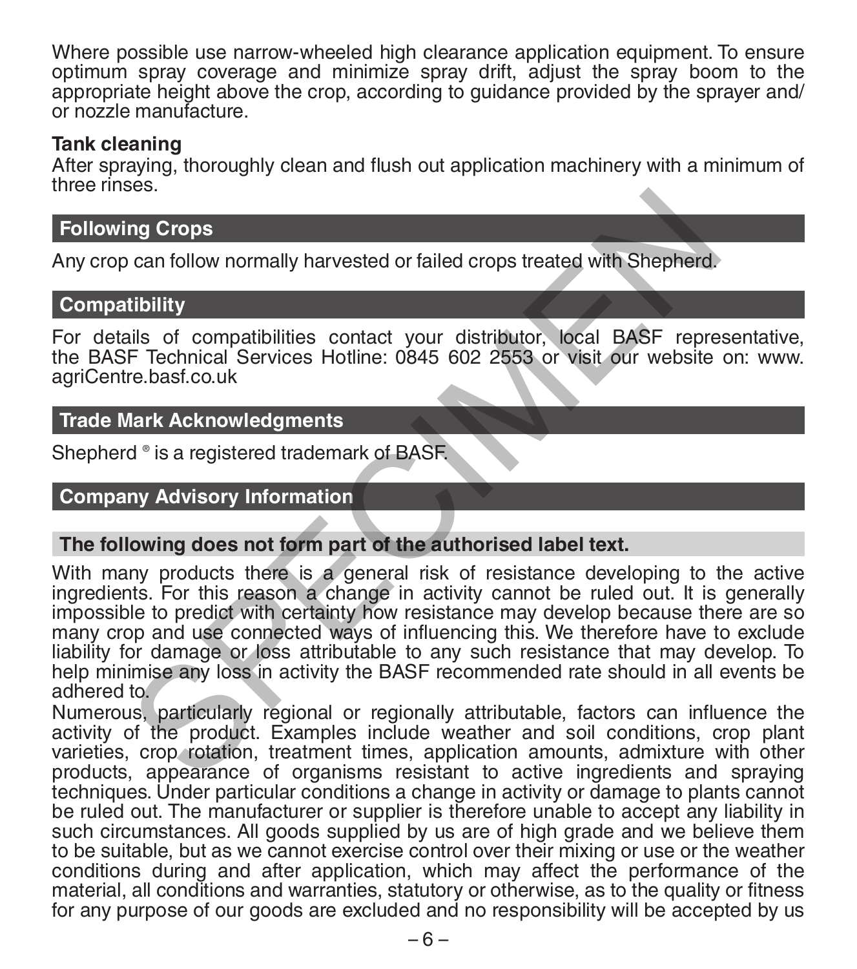Where possible use narrow-wheeled high clearance application equipment. To ensure optimum spray coverage and minimize spray drift, adjust the spray boom to the appropriate height above the crop, according to guidance provided by the sprayer and/ or nozzle manufacture.

#### **Tank cleaning**

After spraying, thoroughly clean and flush out application machinery with a minimum of throa rinces

# **Following Crops**

Any crop can follow normally harvested or failed crops treated with Shepherd.

#### **Compatibility**

For details of compatibilities contact your distributor, local BASF representative, the BASF Technical Services Hotline: 0845 602 2553 or visit our website on: www. agriCentre.basf.co.uk

#### **Trade Mark Acknowledgments**

Shepherd ® is a registered trademark of BASF.

#### **Company Advisory Information**

#### **The following does not form part of the authorised label text.**

With many products there is a general risk of resistance developing to the active ingredients. For this reason a change in activity cannot be ruled out. It is generally impossible to predict with certainty how resistance may develop because there are so many crop and use connected ways of influencing this. We therefore have to exclude liability for damage or loss attributable to any such resistance that may develop. To help minimise any loss in activity the BASF recommended rate should in all events be adhered to. ng Crops<br>
In a Crops can follow normally harvested or failed crops treated with Shepherd.<br>
tibility<br>
alls of compatibilities contact your distributor, local BASF repre<br>
F Technical Services Hotline: 0845 602 2553 or visit

Numerous, particularly regional or regionally attributable, factors can influence the activity of the product. Examples include weather and soil conditions, crop plant varieties, crop rotation, treatment times, application amounts, admixture with other products, appearance of organisms resistant to active ingredients and spraying techniques. Under particular conditions a change in activity or damage to plants cannot be ruled out. The manufacturer or supplier is therefore unable to accept any liability in such circumstances. All goods supplied by us are of high grade and we believe them to be suitable, but as we cannot exercise control over their mixing or use or the weather conditions during and after application, which may affect the performance of the material, all conditions and warranties, statutory or otherwise, as to the quality or fitness for any purpose of our goods are excluded and no responsibility will be accepted by us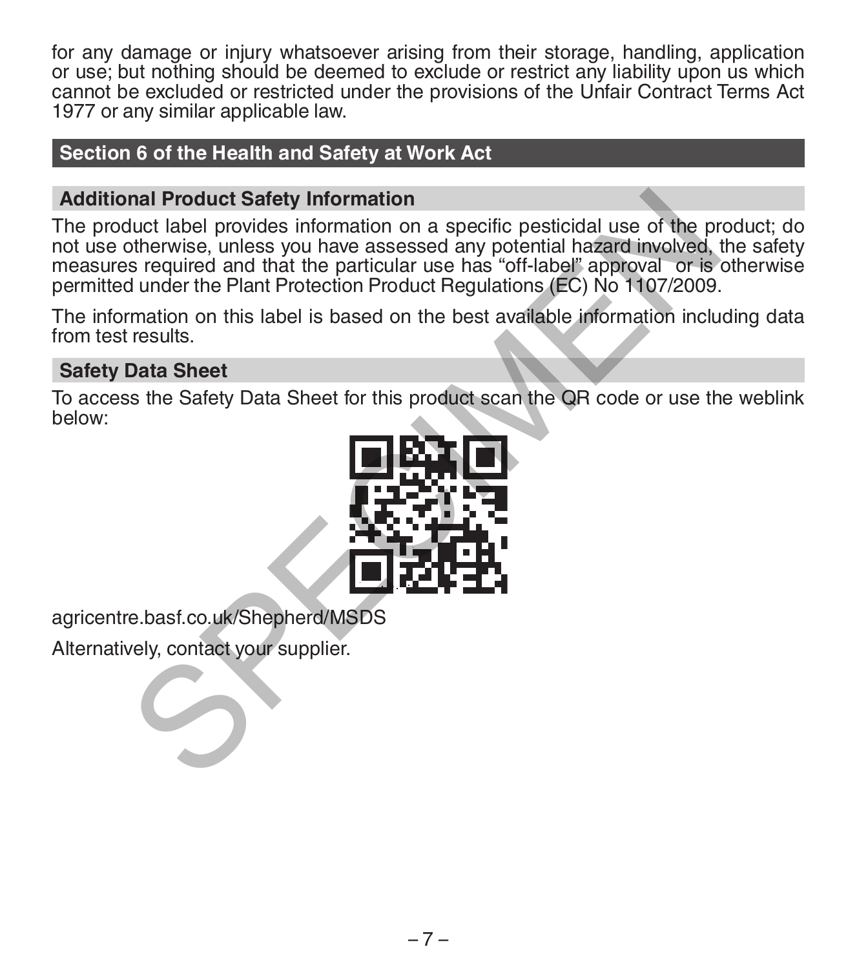for any damage or injury whatsoever arising from their storage, handling, application or use; but nothing should be deemed to exclude or restrict any liability upon us which cannot be excluded or restricted under the provisions of the Unfair Contract Terms Act 1977 or any similar applicable law.

# **Section 6 of the Health and Safety at Work Act**

# **Additional Product Safety Information**

The product label provides information on a specific pesticidal use of the product; do not use otherwise, unless you have assessed any potential hazard involved, the safety measures required and that the particular use has "off-label" approval or is otherwise permitted under the Plant Protection Product Regulations (EC) No 1107/2009. nal Product Safety Information<br>
butch label provides information on a specific pesticidal use of the protection<br>
strengthermation on a specific pesticidal nazard involved,<br>
s required and that the particular use has "off-l

The information on this label is based on the best available information including data from test results.

# **Safety Data Sheet**

To access the Safety Data Sheet for this product scan the QR code or use the weblink below:



agricentre.basf.co.uk/Shepherd/MSDS

Alternatively, contact your supplier.